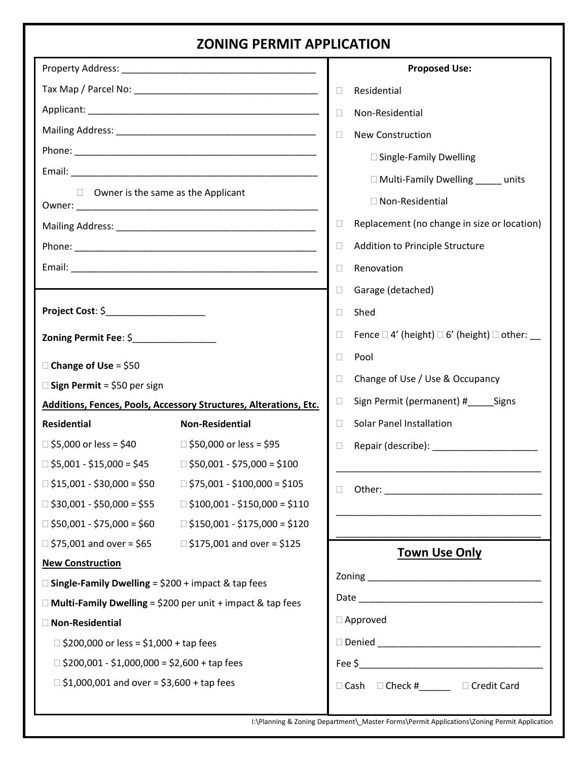# **ZONING PERMIT APPLICATION**

|                                                                                                            |                                                                        | <b>Proposed Use:</b>                                                       |  |
|------------------------------------------------------------------------------------------------------------|------------------------------------------------------------------------|----------------------------------------------------------------------------|--|
|                                                                                                            |                                                                        | Residential<br>$\Box$                                                      |  |
|                                                                                                            |                                                                        | Non-Residential<br>$\Box$                                                  |  |
|                                                                                                            |                                                                        | $\Box$<br>New Construction                                                 |  |
|                                                                                                            |                                                                        | □ Single-Family Dwelling                                                   |  |
|                                                                                                            |                                                                        | □ Multi-Family Dwelling units                                              |  |
| $\Box$ Owner is the same as the Applicant                                                                  |                                                                        |                                                                            |  |
|                                                                                                            |                                                                        | □ Non-Residential                                                          |  |
|                                                                                                            |                                                                        | Replacement (no change in size or location)<br>$\Box$                      |  |
|                                                                                                            |                                                                        | Addition to Principle Structure<br>$\Box$                                  |  |
|                                                                                                            |                                                                        | $\Box$<br>Renovation                                                       |  |
|                                                                                                            |                                                                        | Garage (detached)<br>$\Box$                                                |  |
| Project Cost: \$______________________                                                                     |                                                                        | Shed<br>$\Box$                                                             |  |
| Zoning Permit Fee: \$________________                                                                      |                                                                        | Fence $\Box$ 4' (height) $\Box$ 6' (height) $\Box$ other: $\Box$<br>$\Box$ |  |
|                                                                                                            |                                                                        | Pool<br>$\Box$                                                             |  |
| $\Box$ Change of Use = \$50                                                                                |                                                                        | Change of Use / Use & Occupancy<br>$\Box$                                  |  |
| $\square$ Sign Permit = \$50 per sign<br>Additions, Fences, Pools, Accessory Structures, Alterations, Etc. |                                                                        | Sign Permit (permanent) #______Signs<br>$\Box$                             |  |
| <b>Residential</b>                                                                                         | <b>Non-Residential</b>                                                 | <b>Solar Panel Installation</b><br>$\Box$                                  |  |
| $\Box$ \$5,000 or less = \$40                                                                              | □ \$50,000 or less = \$95                                              | Repair (describe): ________________________<br>$\Box$                      |  |
| $\Box$ \$5,001 - \$15,000 = \$45                                                                           | $\Box$ \$50,001 - \$75,000 = \$100                                     |                                                                            |  |
| $\Box$ \$15,001 - \$30,000 = \$50                                                                          | $\Box$ \$75,001 - \$100,000 = \$105                                    |                                                                            |  |
|                                                                                                            | $\Box$ \$30,001 - \$50,000 = \$55 $\Box$ \$100,001 - \$150,000 = \$110 | u.                                                                         |  |
|                                                                                                            | $\Box$ \$50,001 - \$75,000 = \$60 $\Box$ \$150,001 - \$175,000 = \$120 |                                                                            |  |
|                                                                                                            | $\Box$ \$75,001 and over = \$65 $\Box$ \$175,001 and over = \$125      |                                                                            |  |
| <b>New Construction</b>                                                                                    |                                                                        | <b>Town Use Only</b>                                                       |  |
| $\Box$ Single-Family Dwelling = \$200 + impact & tap fees                                                  |                                                                        |                                                                            |  |
| $\Box$ Multi-Family Dwelling = \$200 per unit + impact & tap fees                                          |                                                                        |                                                                            |  |
| <b>Non-Residential</b>                                                                                     |                                                                        | $\Box$ Approved                                                            |  |
| $\Box$ \$200,000 or less = \$1,000 + tap fees                                                              |                                                                        |                                                                            |  |
| $\Box$ \$200,001 - \$1,000,000 = \$2,600 + tap fees                                                        |                                                                        |                                                                            |  |
| $\Box$ \$1,000,001 and over = \$3,600 + tap fees                                                           |                                                                        | □ Cash □ Check #_______ □ Credit Card                                      |  |
|                                                                                                            |                                                                        |                                                                            |  |

I:\Planning & Zoning Department\\_Master Forms\Permit Applications\Zoning Permit Application